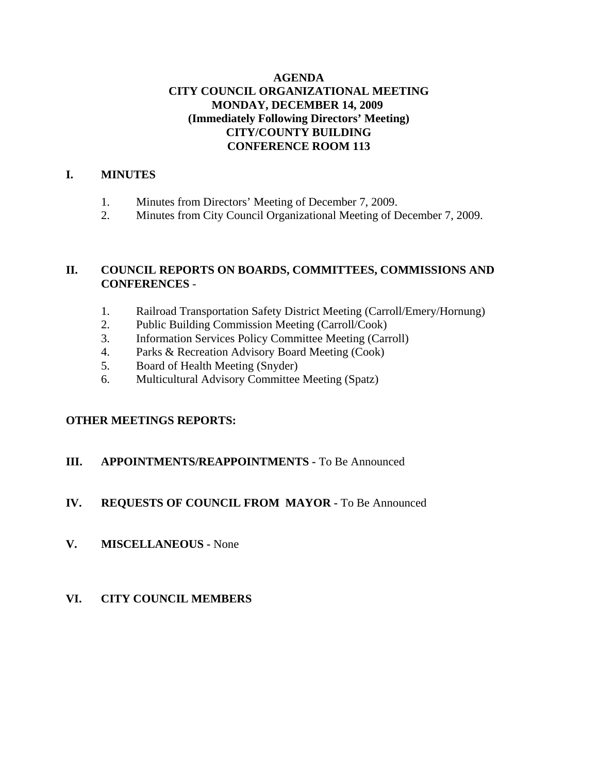## **AGENDA CITY COUNCIL ORGANIZATIONAL MEETING MONDAY, DECEMBER 14, 2009 (Immediately Following Directors' Meeting) CITY/COUNTY BUILDING CONFERENCE ROOM 113**

#### **I. MINUTES**

- 1. Minutes from Directors' Meeting of December 7, 2009.
- 2. Minutes from City Council Organizational Meeting of December 7, 2009.

## **II. COUNCIL REPORTS ON BOARDS, COMMITTEES, COMMISSIONS AND CONFERENCES** -

- 1. Railroad Transportation Safety District Meeting (Carroll/Emery/Hornung)
- 2. Public Building Commission Meeting (Carroll/Cook)
- 3. Information Services Policy Committee Meeting (Carroll)
- 4. Parks & Recreation Advisory Board Meeting (Cook)
- 5. Board of Health Meeting (Snyder)
- 6. Multicultural Advisory Committee Meeting (Spatz)

## **OTHER MEETINGS REPORTS:**

## **III. APPOINTMENTS/REAPPOINTMENTS -** To Be Announced

## **IV. REQUESTS OF COUNCIL FROM MAYOR -** To Be Announced

**V. MISCELLANEOUS -** None

## **VI. CITY COUNCIL MEMBERS**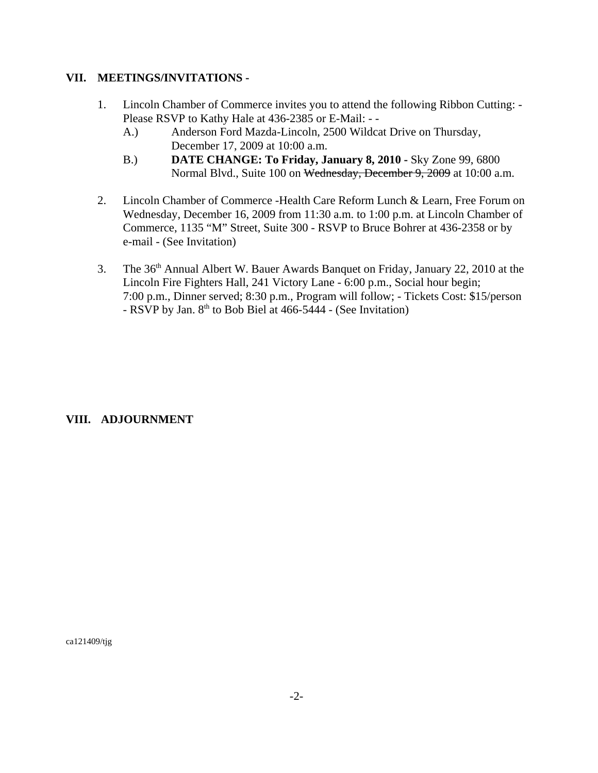#### **VII. MEETINGS/INVITATIONS -**

- 1. Lincoln Chamber of Commerce invites you to attend the following Ribbon Cutting: Please RSVP to Kathy Hale at 436-2385 or E-Mail: - -
	- A.) Anderson Ford Mazda-Lincoln, 2500 Wildcat Drive on Thursday, December 17, 2009 at 10:00 a.m.
	- B.) **DATE CHANGE: To Friday, January 8, 2010** Sky Zone 99, 6800 Normal Blvd., Suite 100 on Wednesday, December 9, 2009 at 10:00 a.m.
- 2. Lincoln Chamber of Commerce -Health Care Reform Lunch & Learn, Free Forum on Wednesday, December 16, 2009 from 11:30 a.m. to 1:00 p.m. at Lincoln Chamber of Commerce, 1135 "M" Street, Suite 300 - RSVP to Bruce Bohrer at 436-2358 or by e-mail - (See Invitation)
- 3. The 36<sup>th</sup> Annual Albert W. Bauer Awards Banquet on Friday, January 22, 2010 at the Lincoln Fire Fighters Hall, 241 Victory Lane - 6:00 p.m., Social hour begin; 7:00 p.m., Dinner served; 8:30 p.m., Program will follow; - Tickets Cost: \$15/person - RSVP by Jan.  $8<sup>th</sup>$  to Bob Biel at 466-5444 - (See Invitation)

## **VIII. ADJOURNMENT**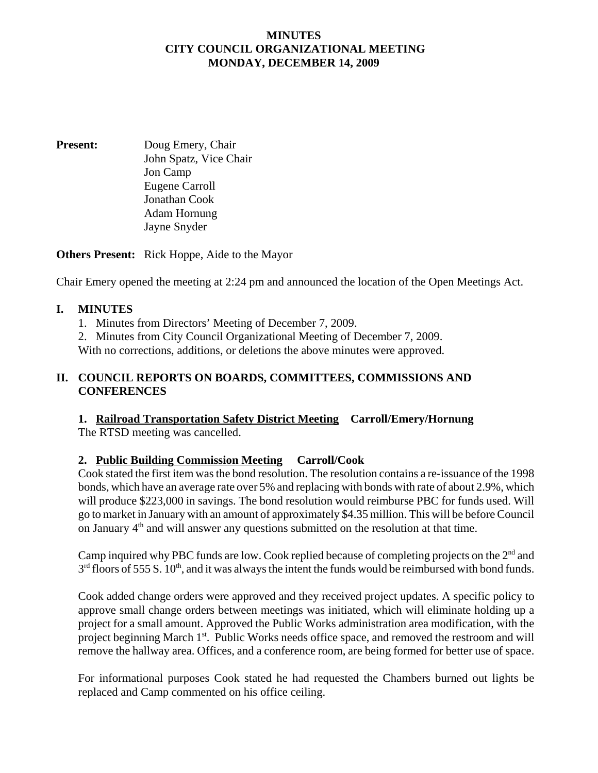#### **MINUTES CITY COUNCIL ORGANIZATIONAL MEETING MONDAY, DECEMBER 14, 2009**

**Present:** Doug Emery, Chair John Spatz, Vice Chair Jon Camp Eugene Carroll Jonathan Cook Adam Hornung Jayne Snyder

**Others Present:** Rick Hoppe, Aide to the Mayor

Chair Emery opened the meeting at 2:24 pm and announced the location of the Open Meetings Act.

#### **I. MINUTES**

1. Minutes from Directors' Meeting of December 7, 2009.

2. Minutes from City Council Organizational Meeting of December 7, 2009.

With no corrections, additions, or deletions the above minutes were approved.

#### **II. COUNCIL REPORTS ON BOARDS, COMMITTEES, COMMISSIONS AND CONFERENCES**

# **1. Railroad Transportation Safety District Meeting Carroll/Emery/Hornung**

The RTSD meeting was cancelled.

## **2. Public Building Commission Meeting Carroll/Cook**

Cook stated the first item was the bond resolution. The resolution contains a re-issuance of the 1998 bonds, which have an average rate over 5% and replacing with bonds with rate of about 2.9%, which will produce \$223,000 in savings. The bond resolution would reimburse PBC for funds used. Will go to market in January with an amount of approximately \$4.35 million. This will be before Council on January 4th and will answer any questions submitted on the resolution at that time.

Camp inquired why PBC funds are low. Cook replied because of completing projects on the 2<sup>nd</sup> and  $3<sup>rd</sup>$  floors of 555 S. 10<sup>th</sup>, and it was always the intent the funds would be reimbursed with bond funds.

Cook added change orders were approved and they received project updates. A specific policy to approve small change orders between meetings was initiated, which will eliminate holding up a project for a small amount. Approved the Public Works administration area modification, with the project beginning March 1<sup>st</sup>. Public Works needs office space, and removed the restroom and will remove the hallway area. Offices, and a conference room, are being formed for better use of space.

For informational purposes Cook stated he had requested the Chambers burned out lights be replaced and Camp commented on his office ceiling.